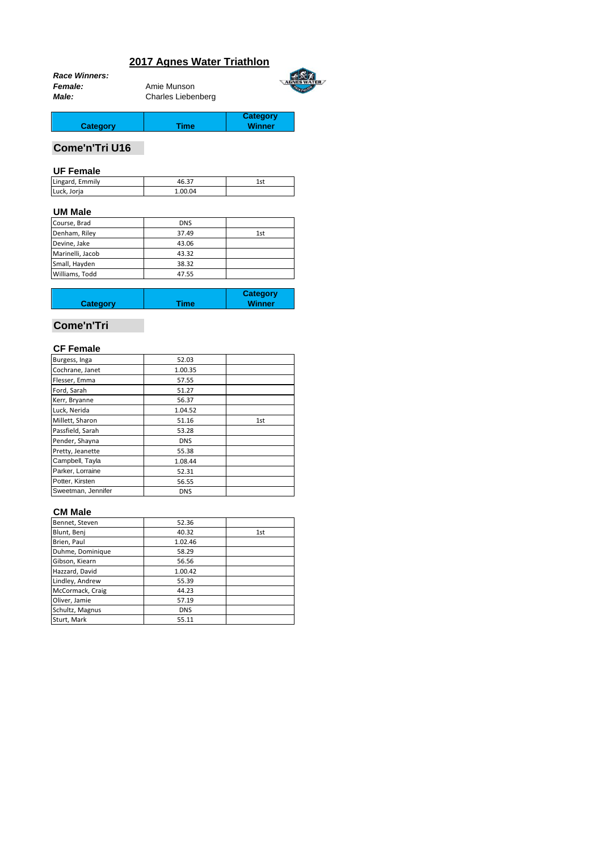# **2017 Agnes Water Triathlon**

|                | <b>Race Winners:</b> |
|----------------|----------------------|
| <b>Female:</b> |                      |
| <b>Male:</b>   |                      |

*Female:* Amie Munson *Male:* Charles Liebenberg



**Category Winner**

**Category** Time

# **Come'n'Tri U16**

#### **UF Female**

| Emmily<br>Lingard, | $\sim$ $-$ | ا - 1 |
|--------------------|------------|-------|
| Luck, Jor<br>Joria | .04        |       |

#### **UM Male**

| <b>DNS</b> |     |
|------------|-----|
| 37.49      | 1st |
| 43.06      |     |
| 43.32      |     |
| 38.32      |     |
| 47.55      |     |
|            |     |

| <b>Category</b> | Time | <b>Category</b><br><b>Winner</b> |
|-----------------|------|----------------------------------|
|                 |      |                                  |

# **Come'n'Tri**

# **CF Female**

| Burgess, Inga      | 52.03      |     |
|--------------------|------------|-----|
| Cochrane, Janet    | 1.00.35    |     |
| Flesser, Emma      | 57.55      |     |
| Ford, Sarah        | 51.27      |     |
| Kerr, Bryanne      | 56.37      |     |
| Luck, Nerida       | 1.04.52    |     |
| Millett, Sharon    | 51.16      | 1st |
| Passfield, Sarah   | 53.28      |     |
| Pender, Shayna     | <b>DNS</b> |     |
| Pretty, Jeanette   | 55.38      |     |
| Campbell, Tayla    | 1.08.44    |     |
| Parker, Lorraine   | 52.31      |     |
| Potter, Kirsten    | 56.55      |     |
| Sweetman, Jennifer | <b>DNS</b> |     |

### **CM Male**

| Bennet, Steven   | 52.36      |     |
|------------------|------------|-----|
| Blunt, Benj      | 40.32      | 1st |
| Brien, Paul      | 1.02.46    |     |
| Duhme, Dominique | 58.29      |     |
| Gibson, Kiearn   | 56.56      |     |
| Hazzard, David   | 1.00.42    |     |
| Lindley, Andrew  | 55.39      |     |
| McCormack, Craig | 44.23      |     |
| Oliver, Jamie    | 57.19      |     |
| Schultz, Magnus  | <b>DNS</b> |     |
| Sturt, Mark      | 55.11      |     |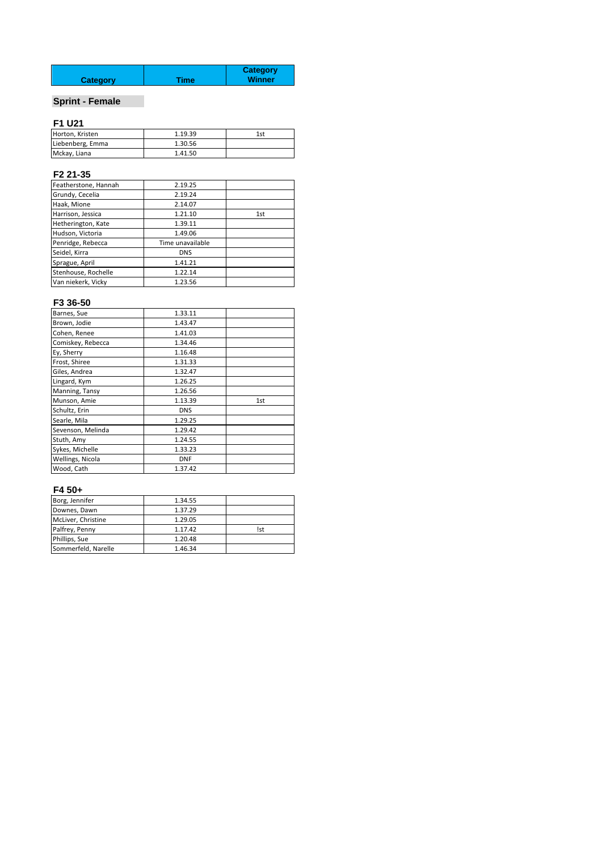| <b>Category</b> | Time | <b>Category</b><br><b>Winner</b> |
|-----------------|------|----------------------------------|
|                 |      |                                  |

# **Sprint - Female**

# **F1 U21**

| Horton, Kristen  | 1.19.39 | 1st |
|------------------|---------|-----|
| Liebenberg, Emma | 1.30.56 |     |
| Mckay, Liana     | 1.41.50 |     |

# **F2 21-35**

| Featherstone, Hannah | 2.19.25          |     |
|----------------------|------------------|-----|
| Grundy, Cecelia      | 2.19.24          |     |
| Haak, Mione          | 2.14.07          |     |
| Harrison, Jessica    | 1.21.10          | 1st |
| Hetherington, Kate   | 1.39.11          |     |
| Hudson, Victoria     | 1.49.06          |     |
| Penridge, Rebecca    | Time unavailable |     |
| Seidel, Kirra        | <b>DNS</b>       |     |
| Sprague, April       | 1.41.21          |     |
| Stenhouse, Rochelle  | 1.22.14          |     |
| Van niekerk, Vicky   | 1.23.56          |     |

### **F3 36-50**

| Barnes, Sue       | 1.33.11    |     |
|-------------------|------------|-----|
| Brown, Jodie      | 1.43.47    |     |
| Cohen, Renee      | 1.41.03    |     |
| Comiskey, Rebecca | 1.34.46    |     |
| Ey, Sherry        | 1.16.48    |     |
| Frost, Shiree     | 1.31.33    |     |
| Giles, Andrea     | 1.32.47    |     |
| Lingard, Kym      | 1.26.25    |     |
| Manning, Tansy    | 1.26.56    |     |
| Munson, Amie      | 1.13.39    | 1st |
| Schultz, Erin     | <b>DNS</b> |     |
| Searle, Mila      | 1.29.25    |     |
| Sevenson, Melinda | 1.29.42    |     |
| Stuth, Amy        | 1.24.55    |     |
| Sykes, Michelle   | 1.33.23    |     |
| Wellings, Nicola  | <b>DNF</b> |     |
| Wood, Cath        | 1.37.42    |     |

### **F4 50+**

| Borg, Jennifer      | 1.34.55 |            |
|---------------------|---------|------------|
| Downes, Dawn        | 1.37.29 |            |
| McLiver, Christine  | 1.29.05 |            |
| Palfrey, Penny      | 1.17.42 | <b>Ist</b> |
| Phillips, Sue       | 1.20.48 |            |
| Sommerfeld, Narelle | 1.46.34 |            |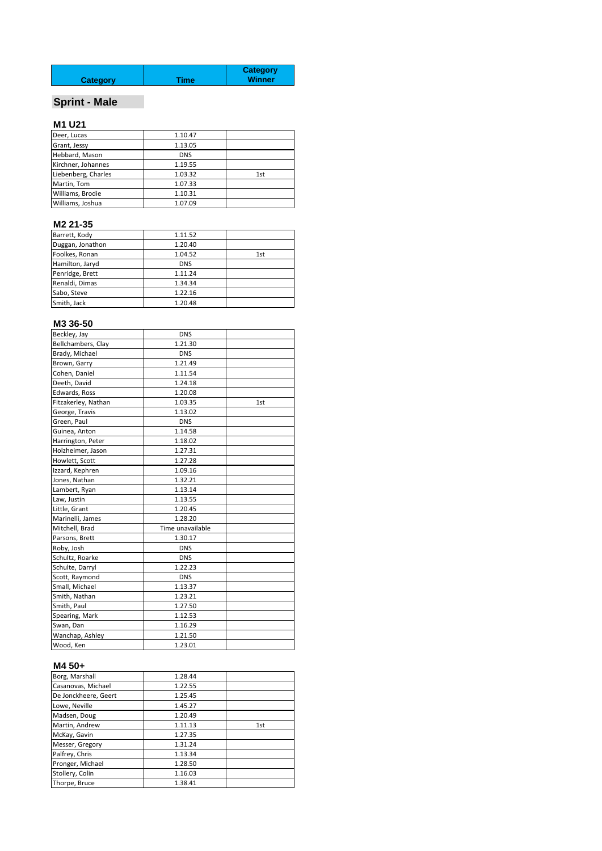| <b>Category</b> | Time | <b>Category</b><br><b>Winner</b> |
|-----------------|------|----------------------------------|
|                 |      |                                  |

# **Sprint - Male**

# **M1 U21**

| Deer, Lucas         | 1.10.47    |     |
|---------------------|------------|-----|
| Grant, Jessy        | 1.13.05    |     |
| Hebbard, Mason      | <b>DNS</b> |     |
| Kirchner, Johannes  | 1.19.55    |     |
| Liebenberg, Charles | 1.03.32    | 1st |
| Martin, Tom         | 1.07.33    |     |
| Williams, Brodie    | 1.10.31    |     |
| Williams, Joshua    | 1.07.09    |     |

#### **M2 21-35**

| Barrett, Kody    | 1.11.52    |     |
|------------------|------------|-----|
| Duggan, Jonathon | 1.20.40    |     |
| Foolkes, Ronan   | 1.04.52    | 1st |
| Hamilton, Jaryd  | <b>DNS</b> |     |
| Penridge, Brett  | 1.11.24    |     |
| Renaldi, Dimas   | 1.34.34    |     |
| Sabo, Steve      | 1.22.16    |     |
| Smith, Jack      | 1.20.48    |     |

# **M3 36-50**

| Beckley, Jay        | <b>DNS</b>       |     |
|---------------------|------------------|-----|
| Bellchambers, Clay  | 1.21.30          |     |
| Brady, Michael      | <b>DNS</b>       |     |
| Brown, Garry        | 1.21.49          |     |
| Cohen, Daniel       | 1.11.54          |     |
| Deeth, David        | 1.24.18          |     |
| Edwards, Ross       | 1.20.08          |     |
| Fitzakerley, Nathan | 1.03.35          | 1st |
| George, Travis      | 1.13.02          |     |
| Green, Paul         | <b>DNS</b>       |     |
| Guinea, Anton       | 1.14.58          |     |
| Harrington, Peter   | 1.18.02          |     |
| Holzheimer, Jason   | 1.27.31          |     |
| Howlett, Scott      | 1.27.28          |     |
| Izzard, Kephren     | 1.09.16          |     |
| Jones, Nathan       | 1.32.21          |     |
| Lambert, Ryan       | 1.13.14          |     |
| Law, Justin         | 1.13.55          |     |
| Little, Grant       | 1.20.45          |     |
| Marinelli, James    | 1.28.20          |     |
| Mitchell, Brad      | Time unavailable |     |
| Parsons, Brett      | 1.30.17          |     |
| Roby, Josh          | <b>DNS</b>       |     |
| Schultz, Roarke     | <b>DNS</b>       |     |
| Schulte, Darryl     | 1.22.23          |     |
| Scott, Raymond      | <b>DNS</b>       |     |
| Small, Michael      | 1.13.37          |     |
| Smith, Nathan       | 1.23.21          |     |
| Smith, Paul         | 1.27.50          |     |
| Spearing, Mark      | 1.12.53          |     |
| Swan, Dan           | 1.16.29          |     |
| Wanchap, Ashley     | 1.21.50          |     |
| Wood, Ken           | 1.23.01          |     |

### **M4 50+**

| Borg, Marshall       | 1.28.44 |     |
|----------------------|---------|-----|
| Casanovas, Michael   | 1.22.55 |     |
| De Jonckheere, Geert | 1.25.45 |     |
| Lowe, Neville        | 1.45.27 |     |
| Madsen, Doug         | 1.20.49 |     |
| Martin, Andrew       | 1.11.13 | 1st |
| McKay, Gavin         | 1.27.35 |     |
| Messer, Gregory      | 1.31.24 |     |
| Palfrey, Chris       | 1.13.34 |     |
| Pronger, Michael     | 1.28.50 |     |
| Stollery, Colin      | 1.16.03 |     |
| Thorpe, Bruce        | 1.38.41 |     |